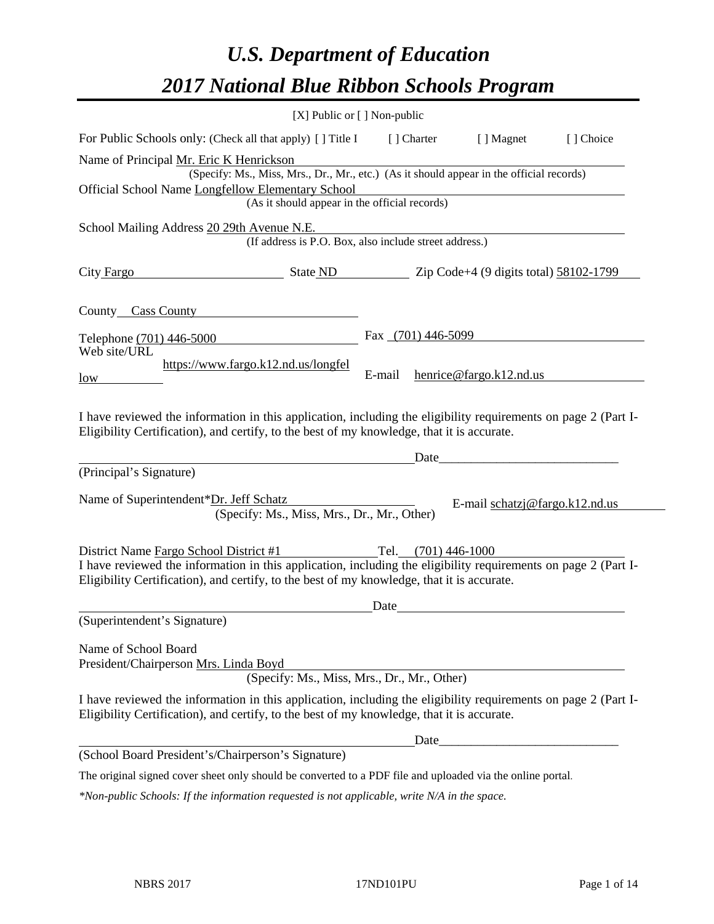# *U.S. Department of Education 2017 National Blue Ribbon Schools Program*

|                                                                                                                                                                                                              | [X] Public or [] Non-public                                                              |        |                     |                                  |           |
|--------------------------------------------------------------------------------------------------------------------------------------------------------------------------------------------------------------|------------------------------------------------------------------------------------------|--------|---------------------|----------------------------------|-----------|
| For Public Schools only: (Check all that apply) [ ] Title I                                                                                                                                                  |                                                                                          |        | [] Charter          | [ ] Magnet                       | [] Choice |
| Name of Principal Mr. Eric K Henrickson                                                                                                                                                                      | (Specify: Ms., Miss, Mrs., Dr., Mr., etc.) (As it should appear in the official records) |        |                     |                                  |           |
| Official School Name Longfellow Elementary School                                                                                                                                                            |                                                                                          |        |                     |                                  |           |
|                                                                                                                                                                                                              | (As it should appear in the official records)                                            |        |                     |                                  |           |
| School Mailing Address 20 29th Avenue N.E.                                                                                                                                                                   |                                                                                          |        |                     |                                  |           |
|                                                                                                                                                                                                              | (If address is P.O. Box, also include street address.)                                   |        |                     |                                  |           |
| City Fargo                                                                                                                                                                                                   | $\frac{1}{2}$ State ND $\frac{1}{2}$ Zip Code+4 (9 digits total) 58102-1799              |        |                     |                                  |           |
| County Cass County                                                                                                                                                                                           |                                                                                          |        |                     |                                  |           |
| Telephone (701) 446-5000                                                                                                                                                                                     |                                                                                          |        | Fax (701) 446-5099  |                                  |           |
| Web site/URL                                                                                                                                                                                                 |                                                                                          |        |                     |                                  |           |
| low                                                                                                                                                                                                          | https://www.fargo.k12.nd.us/longfel                                                      | E-mail |                     | henrice@fargo.k12.nd.us          |           |
| Eligibility Certification), and certify, to the best of my knowledge, that it is accurate.<br>(Principal's Signature)                                                                                        |                                                                                          |        | Date                |                                  |           |
|                                                                                                                                                                                                              |                                                                                          |        |                     |                                  |           |
| Name of Superintendent*Dr. Jeff Schatz                                                                                                                                                                       | (Specify: Ms., Miss, Mrs., Dr., Mr., Other)                                              |        |                     | E-mail $schatzj@fargo.k12.nd.us$ |           |
| District Name Fargo School District #1                                                                                                                                                                       |                                                                                          |        | Tel. (701) 446-1000 |                                  |           |
| I have reviewed the information in this application, including the eligibility requirements on page 2 (Part I-<br>Eligibility Certification), and certify, to the best of my knowledge, that it is accurate. |                                                                                          |        |                     |                                  |           |
|                                                                                                                                                                                                              |                                                                                          | Date   |                     |                                  |           |
| (Superintendent's Signature)                                                                                                                                                                                 |                                                                                          |        |                     |                                  |           |
| Name of School Board<br>President/Chairperson Mrs. Linda Boyd                                                                                                                                                | (Specify: Ms., Miss, Mrs., Dr., Mr., Other)                                              |        |                     |                                  |           |
|                                                                                                                                                                                                              |                                                                                          |        |                     |                                  |           |
| I have reviewed the information in this application, including the eligibility requirements on page 2 (Part I-<br>Eligibility Certification), and certify, to the best of my knowledge, that it is accurate. |                                                                                          |        |                     |                                  |           |
|                                                                                                                                                                                                              |                                                                                          |        | Date                |                                  |           |
| (School Board President's/Chairperson's Signature)                                                                                                                                                           |                                                                                          |        |                     |                                  |           |
| The original signed cover sheet only should be converted to a PDF file and uploaded via the online portal.                                                                                                   |                                                                                          |        |                     |                                  |           |

*\*Non-public Schools: If the information requested is not applicable, write N/A in the space.*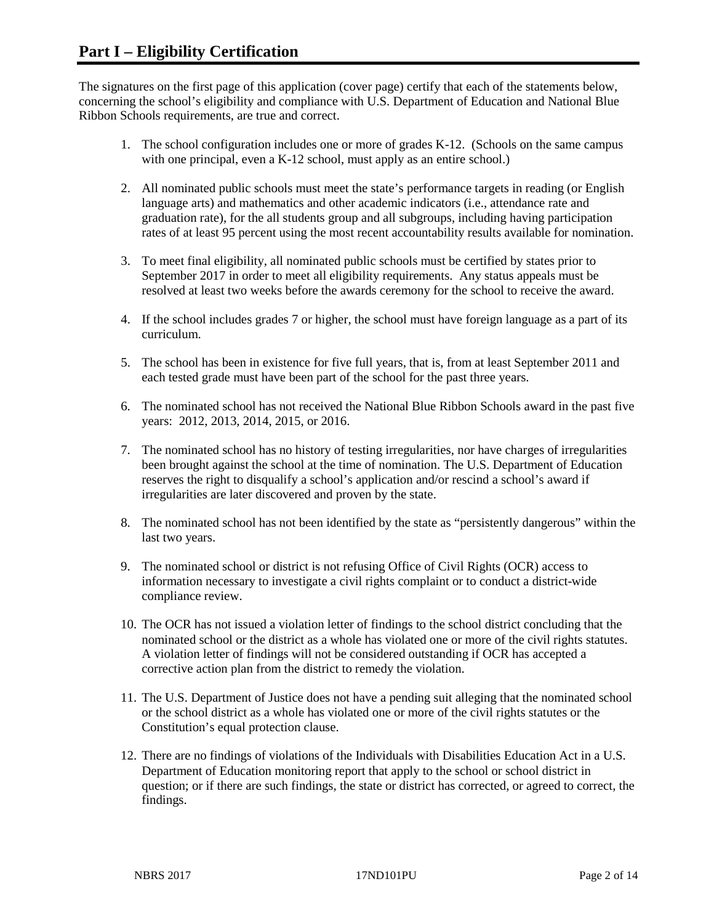The signatures on the first page of this application (cover page) certify that each of the statements below, concerning the school's eligibility and compliance with U.S. Department of Education and National Blue Ribbon Schools requirements, are true and correct.

- 1. The school configuration includes one or more of grades K-12. (Schools on the same campus with one principal, even a K-12 school, must apply as an entire school.)
- 2. All nominated public schools must meet the state's performance targets in reading (or English language arts) and mathematics and other academic indicators (i.e., attendance rate and graduation rate), for the all students group and all subgroups, including having participation rates of at least 95 percent using the most recent accountability results available for nomination.
- 3. To meet final eligibility, all nominated public schools must be certified by states prior to September 2017 in order to meet all eligibility requirements. Any status appeals must be resolved at least two weeks before the awards ceremony for the school to receive the award.
- 4. If the school includes grades 7 or higher, the school must have foreign language as a part of its curriculum.
- 5. The school has been in existence for five full years, that is, from at least September 2011 and each tested grade must have been part of the school for the past three years.
- 6. The nominated school has not received the National Blue Ribbon Schools award in the past five years: 2012, 2013, 2014, 2015, or 2016.
- 7. The nominated school has no history of testing irregularities, nor have charges of irregularities been brought against the school at the time of nomination. The U.S. Department of Education reserves the right to disqualify a school's application and/or rescind a school's award if irregularities are later discovered and proven by the state.
- 8. The nominated school has not been identified by the state as "persistently dangerous" within the last two years.
- 9. The nominated school or district is not refusing Office of Civil Rights (OCR) access to information necessary to investigate a civil rights complaint or to conduct a district-wide compliance review.
- 10. The OCR has not issued a violation letter of findings to the school district concluding that the nominated school or the district as a whole has violated one or more of the civil rights statutes. A violation letter of findings will not be considered outstanding if OCR has accepted a corrective action plan from the district to remedy the violation.
- 11. The U.S. Department of Justice does not have a pending suit alleging that the nominated school or the school district as a whole has violated one or more of the civil rights statutes or the Constitution's equal protection clause.
- 12. There are no findings of violations of the Individuals with Disabilities Education Act in a U.S. Department of Education monitoring report that apply to the school or school district in question; or if there are such findings, the state or district has corrected, or agreed to correct, the findings.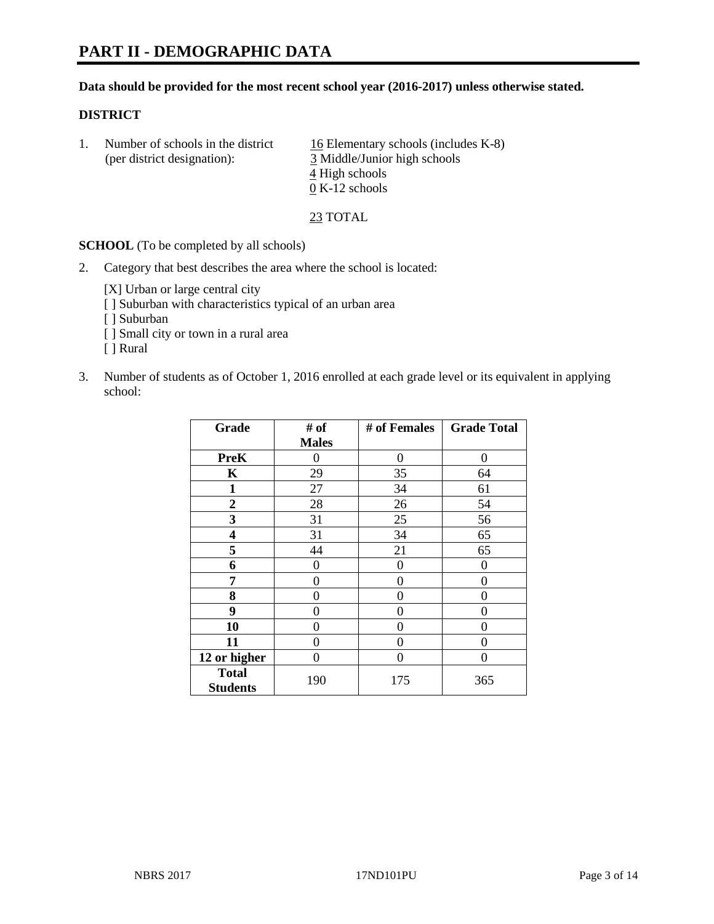#### **Data should be provided for the most recent school year (2016-2017) unless otherwise stated.**

#### **DISTRICT**

|  | Number of schools in the district<br>(per district designation): | 16 Elementary schools (includes K-8)<br>3 Middle/Junior high schools |
|--|------------------------------------------------------------------|----------------------------------------------------------------------|
|  |                                                                  | 4 High schools                                                       |
|  |                                                                  | $0 K-12$ schools                                                     |

23 TOTAL

**SCHOOL** (To be completed by all schools)

2. Category that best describes the area where the school is located:

[X] Urban or large central city [ ] Suburban with characteristics typical of an urban area [ ] Suburban

- [ ] Small city or town in a rural area
- [ ] Rural
- 3. Number of students as of October 1, 2016 enrolled at each grade level or its equivalent in applying school:

| Grade                           | # of         | # of Females | <b>Grade Total</b> |
|---------------------------------|--------------|--------------|--------------------|
|                                 | <b>Males</b> |              |                    |
| <b>PreK</b>                     | 0            | 0            | 0                  |
| K                               | 29           | 35           | 64                 |
| $\mathbf{1}$                    | 27           | 34           | 61                 |
| $\overline{2}$                  | 28           | 26           | 54                 |
| 3                               | 31           | 25           | 56                 |
| 4                               | 31           | 34           | 65                 |
| 5                               | 44           | 21           | 65                 |
| 6                               | $\theta$     | $\theta$     | 0                  |
| 7                               | 0            | 0            | 0                  |
| 8                               | $\theta$     | $\theta$     | 0                  |
| 9                               | 0            | 0            | 0                  |
| 10                              | 0            | 0            | 0                  |
| 11                              | 0            | 0            | 0                  |
| 12 or higher                    | 0            | 0            | 0                  |
| <b>Total</b><br><b>Students</b> | 190          | 175          | 365                |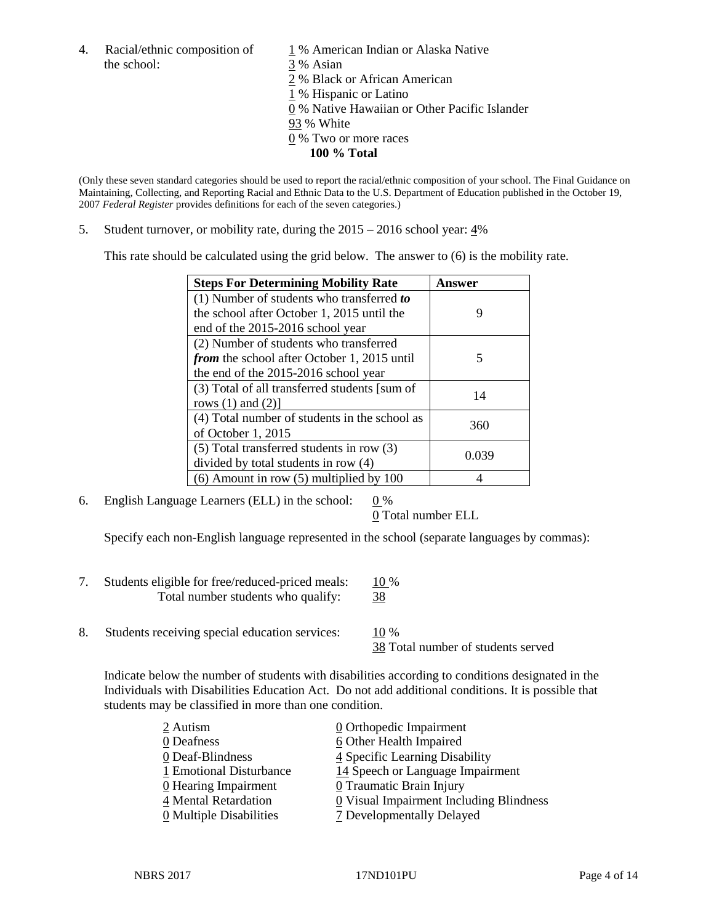4. Racial/ethnic composition of  $1\%$  American Indian or Alaska Native the school: 3 % Asian

 % Black or African American % Hispanic or Latino % Native Hawaiian or Other Pacific Islander 93 % White

- 0 % Two or more races
	- **100 % Total**

(Only these seven standard categories should be used to report the racial/ethnic composition of your school. The Final Guidance on Maintaining, Collecting, and Reporting Racial and Ethnic Data to the U.S. Department of Education published in the October 19, 2007 *Federal Register* provides definitions for each of the seven categories.)

5. Student turnover, or mobility rate, during the 2015 – 2016 school year: 4%

This rate should be calculated using the grid below. The answer to (6) is the mobility rate.

| <b>Steps For Determining Mobility Rate</b>         | Answer |  |
|----------------------------------------------------|--------|--|
| $(1)$ Number of students who transferred to        |        |  |
| the school after October 1, 2015 until the         | 9      |  |
| end of the 2015-2016 school year                   |        |  |
| (2) Number of students who transferred             |        |  |
| <i>from</i> the school after October 1, 2015 until | 5      |  |
| the end of the 2015-2016 school year               |        |  |
| (3) Total of all transferred students [sum of      | 14     |  |
| rows $(1)$ and $(2)$ ]                             |        |  |
| (4) Total number of students in the school as      | 360    |  |
| of October $1, 2015$                               |        |  |
| (5) Total transferred students in row (3)          | 0.039  |  |
| divided by total students in row (4)               |        |  |
| $(6)$ Amount in row $(5)$ multiplied by 100        |        |  |

6. English Language Learners (ELL) in the school:  $0\%$ 

0 Total number ELL

Specify each non-English language represented in the school (separate languages by commas):

- 7. Students eligible for free/reduced-priced meals: 10 % Total number students who qualify: 38
- 8. Students receiving special education services: 10 %

38 Total number of students served

Indicate below the number of students with disabilities according to conditions designated in the Individuals with Disabilities Education Act. Do not add additional conditions. It is possible that students may be classified in more than one condition.

| 2 Autism                              | $\underline{0}$ Orthopedic Impairment                 |
|---------------------------------------|-------------------------------------------------------|
| 0 Deafness                            | 6 Other Health Impaired                               |
| 0 Deaf-Blindness                      | 4 Specific Learning Disability                        |
| 1 Emotional Disturbance               | 14 Speech or Language Impairment                      |
| 0 Hearing Impairment                  | 0 Traumatic Brain Injury                              |
| 4 Mental Retardation                  | $\underline{0}$ Visual Impairment Including Blindness |
| $\underline{0}$ Multiple Disabilities | <b>7</b> Developmentally Delayed                      |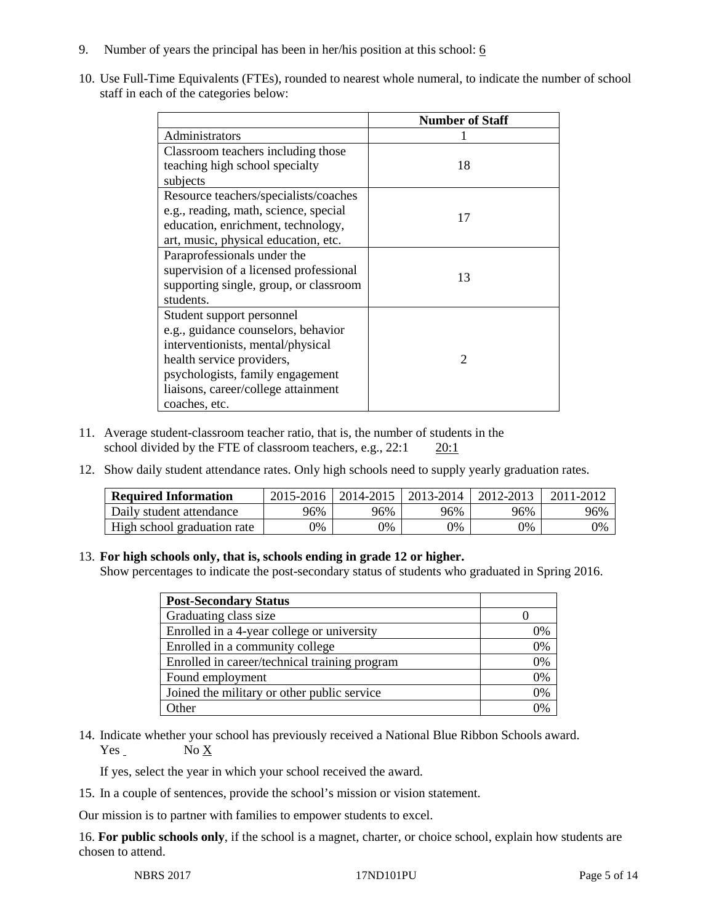- 9. Number of years the principal has been in her/his position at this school:  $6$
- 10. Use Full-Time Equivalents (FTEs), rounded to nearest whole numeral, to indicate the number of school staff in each of the categories below:

|                                        | <b>Number of Staff</b> |
|----------------------------------------|------------------------|
| Administrators                         |                        |
| Classroom teachers including those     |                        |
| teaching high school specialty         | 18                     |
| subjects                               |                        |
| Resource teachers/specialists/coaches  |                        |
| e.g., reading, math, science, special  | 17                     |
| education, enrichment, technology,     |                        |
| art, music, physical education, etc.   |                        |
| Paraprofessionals under the            |                        |
| supervision of a licensed professional | 13                     |
| supporting single, group, or classroom |                        |
| students.                              |                        |
| Student support personnel              |                        |
| e.g., guidance counselors, behavior    |                        |
| interventionists, mental/physical      |                        |
| health service providers,              | $\mathcal{D}$          |
| psychologists, family engagement       |                        |
| liaisons, career/college attainment    |                        |
| coaches, etc.                          |                        |

- 11. Average student-classroom teacher ratio, that is, the number of students in the school divided by the FTE of classroom teachers, e.g., 22:1 20:1
- 12. Show daily student attendance rates. Only high schools need to supply yearly graduation rates.

| <b>Required Information</b> | 2015-2016 | 2014-2015 | 2013-2014 | 2012-2013 |     |
|-----------------------------|-----------|-----------|-----------|-----------|-----|
| Daily student attendance    | 96%       | 96%       | 96%       | 96%       | 96% |
| High school graduation rate | 0%        | 0%        | 0%        | 9%        | 0%  |

#### 13. **For high schools only, that is, schools ending in grade 12 or higher.**

Show percentages to indicate the post-secondary status of students who graduated in Spring 2016.

| <b>Post-Secondary Status</b>                  |    |
|-----------------------------------------------|----|
| Graduating class size                         |    |
| Enrolled in a 4-year college or university    | 0% |
| Enrolled in a community college               | 0% |
| Enrolled in career/technical training program | 0% |
| Found employment                              | 0% |
| Joined the military or other public service   | 0% |
| )ther                                         |    |

14. Indicate whether your school has previously received a National Blue Ribbon Schools award.  $Yes$  No  $X$ 

If yes, select the year in which your school received the award.

15. In a couple of sentences, provide the school's mission or vision statement.

Our mission is to partner with families to empower students to excel.

16. **For public schools only**, if the school is a magnet, charter, or choice school, explain how students are chosen to attend.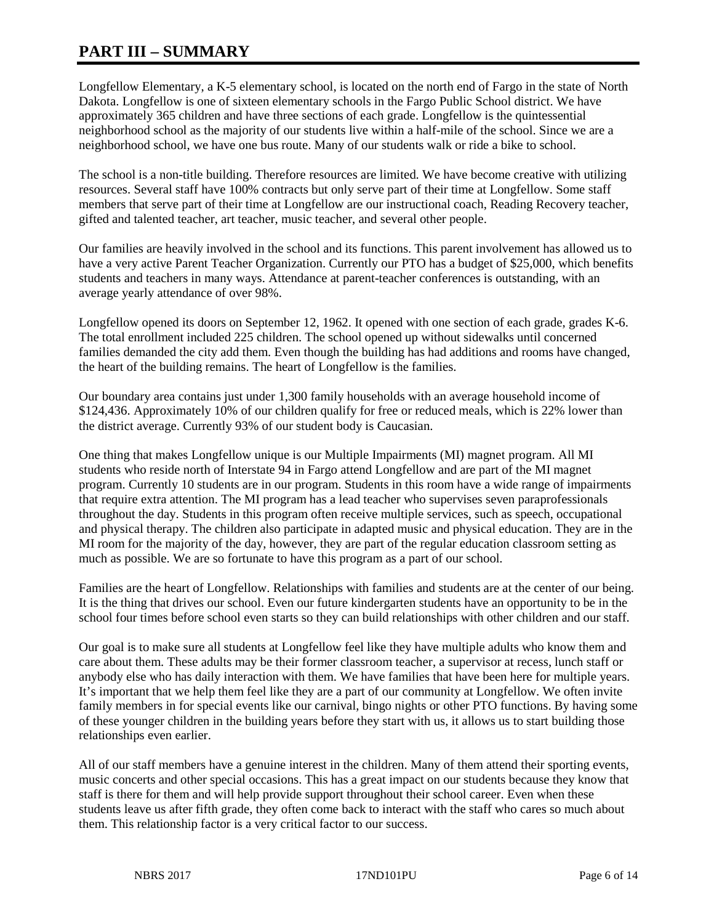# **PART III – SUMMARY**

Longfellow Elementary, a K-5 elementary school, is located on the north end of Fargo in the state of North Dakota. Longfellow is one of sixteen elementary schools in the Fargo Public School district. We have approximately 365 children and have three sections of each grade. Longfellow is the quintessential neighborhood school as the majority of our students live within a half-mile of the school. Since we are a neighborhood school, we have one bus route. Many of our students walk or ride a bike to school.

The school is a non-title building. Therefore resources are limited. We have become creative with utilizing resources. Several staff have 100% contracts but only serve part of their time at Longfellow. Some staff members that serve part of their time at Longfellow are our instructional coach, Reading Recovery teacher, gifted and talented teacher, art teacher, music teacher, and several other people.

Our families are heavily involved in the school and its functions. This parent involvement has allowed us to have a very active Parent Teacher Organization. Currently our PTO has a budget of \$25,000, which benefits students and teachers in many ways. Attendance at parent-teacher conferences is outstanding, with an average yearly attendance of over 98%.

Longfellow opened its doors on September 12, 1962. It opened with one section of each grade, grades K-6. The total enrollment included 225 children. The school opened up without sidewalks until concerned families demanded the city add them. Even though the building has had additions and rooms have changed, the heart of the building remains. The heart of Longfellow is the families.

Our boundary area contains just under 1,300 family households with an average household income of \$124,436. Approximately 10% of our children qualify for free or reduced meals, which is 22% lower than the district average. Currently 93% of our student body is Caucasian.

One thing that makes Longfellow unique is our Multiple Impairments (MI) magnet program. All MI students who reside north of Interstate 94 in Fargo attend Longfellow and are part of the MI magnet program. Currently 10 students are in our program. Students in this room have a wide range of impairments that require extra attention. The MI program has a lead teacher who supervises seven paraprofessionals throughout the day. Students in this program often receive multiple services, such as speech, occupational and physical therapy. The children also participate in adapted music and physical education. They are in the MI room for the majority of the day, however, they are part of the regular education classroom setting as much as possible. We are so fortunate to have this program as a part of our school.

Families are the heart of Longfellow. Relationships with families and students are at the center of our being. It is the thing that drives our school. Even our future kindergarten students have an opportunity to be in the school four times before school even starts so they can build relationships with other children and our staff.

Our goal is to make sure all students at Longfellow feel like they have multiple adults who know them and care about them. These adults may be their former classroom teacher, a supervisor at recess, lunch staff or anybody else who has daily interaction with them. We have families that have been here for multiple years. It's important that we help them feel like they are a part of our community at Longfellow. We often invite family members in for special events like our carnival, bingo nights or other PTO functions. By having some of these younger children in the building years before they start with us, it allows us to start building those relationships even earlier.

All of our staff members have a genuine interest in the children. Many of them attend their sporting events, music concerts and other special occasions. This has a great impact on our students because they know that staff is there for them and will help provide support throughout their school career. Even when these students leave us after fifth grade, they often come back to interact with the staff who cares so much about them. This relationship factor is a very critical factor to our success.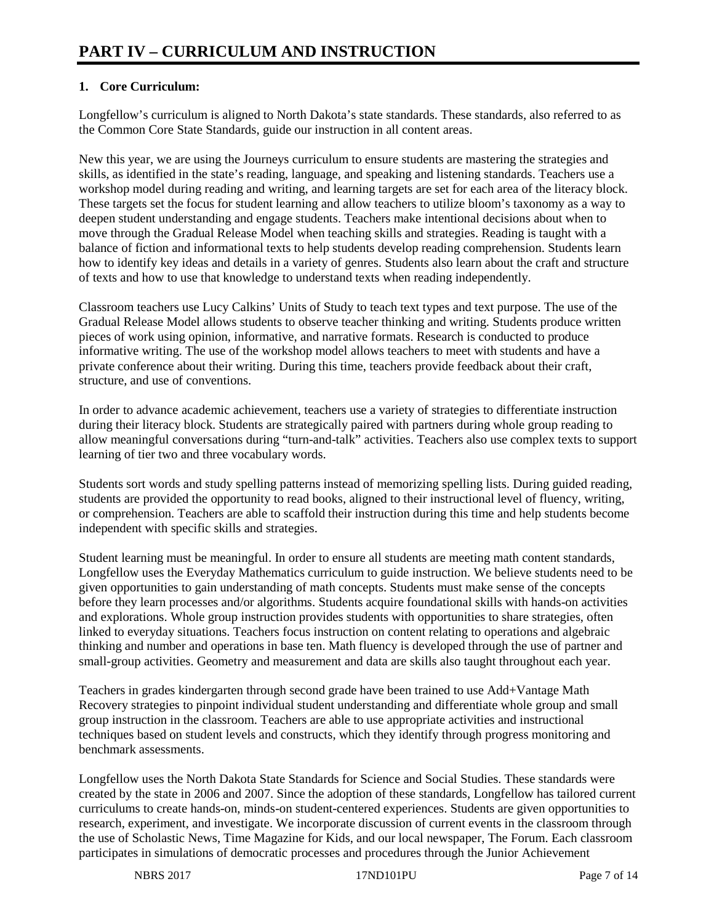# **1. Core Curriculum:**

Longfellow's curriculum is aligned to North Dakota's state standards. These standards, also referred to as the Common Core State Standards, guide our instruction in all content areas.

New this year, we are using the Journeys curriculum to ensure students are mastering the strategies and skills, as identified in the state's reading, language, and speaking and listening standards. Teachers use a workshop model during reading and writing, and learning targets are set for each area of the literacy block. These targets set the focus for student learning and allow teachers to utilize bloom's taxonomy as a way to deepen student understanding and engage students. Teachers make intentional decisions about when to move through the Gradual Release Model when teaching skills and strategies. Reading is taught with a balance of fiction and informational texts to help students develop reading comprehension. Students learn how to identify key ideas and details in a variety of genres. Students also learn about the craft and structure of texts and how to use that knowledge to understand texts when reading independently.

Classroom teachers use Lucy Calkins' Units of Study to teach text types and text purpose. The use of the Gradual Release Model allows students to observe teacher thinking and writing. Students produce written pieces of work using opinion, informative, and narrative formats. Research is conducted to produce informative writing. The use of the workshop model allows teachers to meet with students and have a private conference about their writing. During this time, teachers provide feedback about their craft, structure, and use of conventions.

In order to advance academic achievement, teachers use a variety of strategies to differentiate instruction during their literacy block. Students are strategically paired with partners during whole group reading to allow meaningful conversations during "turn-and-talk" activities. Teachers also use complex texts to support learning of tier two and three vocabulary words.

Students sort words and study spelling patterns instead of memorizing spelling lists. During guided reading, students are provided the opportunity to read books, aligned to their instructional level of fluency, writing, or comprehension. Teachers are able to scaffold their instruction during this time and help students become independent with specific skills and strategies.

Student learning must be meaningful. In order to ensure all students are meeting math content standards, Longfellow uses the Everyday Mathematics curriculum to guide instruction. We believe students need to be given opportunities to gain understanding of math concepts. Students must make sense of the concepts before they learn processes and/or algorithms. Students acquire foundational skills with hands-on activities and explorations. Whole group instruction provides students with opportunities to share strategies, often linked to everyday situations. Teachers focus instruction on content relating to operations and algebraic thinking and number and operations in base ten. Math fluency is developed through the use of partner and small-group activities. Geometry and measurement and data are skills also taught throughout each year.

Teachers in grades kindergarten through second grade have been trained to use Add+Vantage Math Recovery strategies to pinpoint individual student understanding and differentiate whole group and small group instruction in the classroom. Teachers are able to use appropriate activities and instructional techniques based on student levels and constructs, which they identify through progress monitoring and benchmark assessments.

Longfellow uses the North Dakota State Standards for Science and Social Studies. These standards were created by the state in 2006 and 2007. Since the adoption of these standards, Longfellow has tailored current curriculums to create hands-on, minds-on student-centered experiences. Students are given opportunities to research, experiment, and investigate. We incorporate discussion of current events in the classroom through the use of Scholastic News, Time Magazine for Kids, and our local newspaper, The Forum. Each classroom participates in simulations of democratic processes and procedures through the Junior Achievement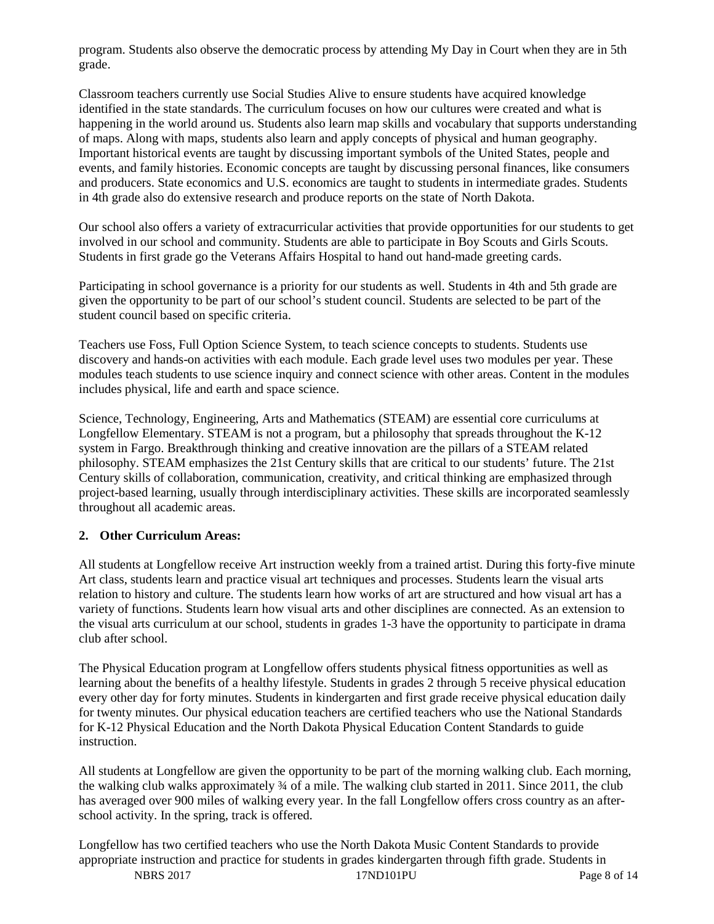program. Students also observe the democratic process by attending My Day in Court when they are in 5th grade.

Classroom teachers currently use Social Studies Alive to ensure students have acquired knowledge identified in the state standards. The curriculum focuses on how our cultures were created and what is happening in the world around us. Students also learn map skills and vocabulary that supports understanding of maps. Along with maps, students also learn and apply concepts of physical and human geography. Important historical events are taught by discussing important symbols of the United States, people and events, and family histories. Economic concepts are taught by discussing personal finances, like consumers and producers. State economics and U.S. economics are taught to students in intermediate grades. Students in 4th grade also do extensive research and produce reports on the state of North Dakota.

Our school also offers a variety of extracurricular activities that provide opportunities for our students to get involved in our school and community. Students are able to participate in Boy Scouts and Girls Scouts. Students in first grade go the Veterans Affairs Hospital to hand out hand-made greeting cards.

Participating in school governance is a priority for our students as well. Students in 4th and 5th grade are given the opportunity to be part of our school's student council. Students are selected to be part of the student council based on specific criteria.

Teachers use Foss, Full Option Science System, to teach science concepts to students. Students use discovery and hands-on activities with each module. Each grade level uses two modules per year. These modules teach students to use science inquiry and connect science with other areas. Content in the modules includes physical, life and earth and space science.

Science, Technology, Engineering, Arts and Mathematics (STEAM) are essential core curriculums at Longfellow Elementary. STEAM is not a program, but a philosophy that spreads throughout the K-12 system in Fargo. Breakthrough thinking and creative innovation are the pillars of a STEAM related philosophy. STEAM emphasizes the 21st Century skills that are critical to our students' future. The 21st Century skills of collaboration, communication, creativity, and critical thinking are emphasized through project-based learning, usually through interdisciplinary activities. These skills are incorporated seamlessly throughout all academic areas.

## **2. Other Curriculum Areas:**

All students at Longfellow receive Art instruction weekly from a trained artist. During this forty-five minute Art class, students learn and practice visual art techniques and processes. Students learn the visual arts relation to history and culture. The students learn how works of art are structured and how visual art has a variety of functions. Students learn how visual arts and other disciplines are connected. As an extension to the visual arts curriculum at our school, students in grades 1-3 have the opportunity to participate in drama club after school.

The Physical Education program at Longfellow offers students physical fitness opportunities as well as learning about the benefits of a healthy lifestyle. Students in grades 2 through 5 receive physical education every other day for forty minutes. Students in kindergarten and first grade receive physical education daily for twenty minutes. Our physical education teachers are certified teachers who use the National Standards for K-12 Physical Education and the North Dakota Physical Education Content Standards to guide instruction.

All students at Longfellow are given the opportunity to be part of the morning walking club. Each morning, the walking club walks approximately ¾ of a mile. The walking club started in 2011. Since 2011, the club has averaged over 900 miles of walking every year. In the fall Longfellow offers cross country as an afterschool activity. In the spring, track is offered.

Longfellow has two certified teachers who use the North Dakota Music Content Standards to provide appropriate instruction and practice for students in grades kindergarten through fifth grade. Students in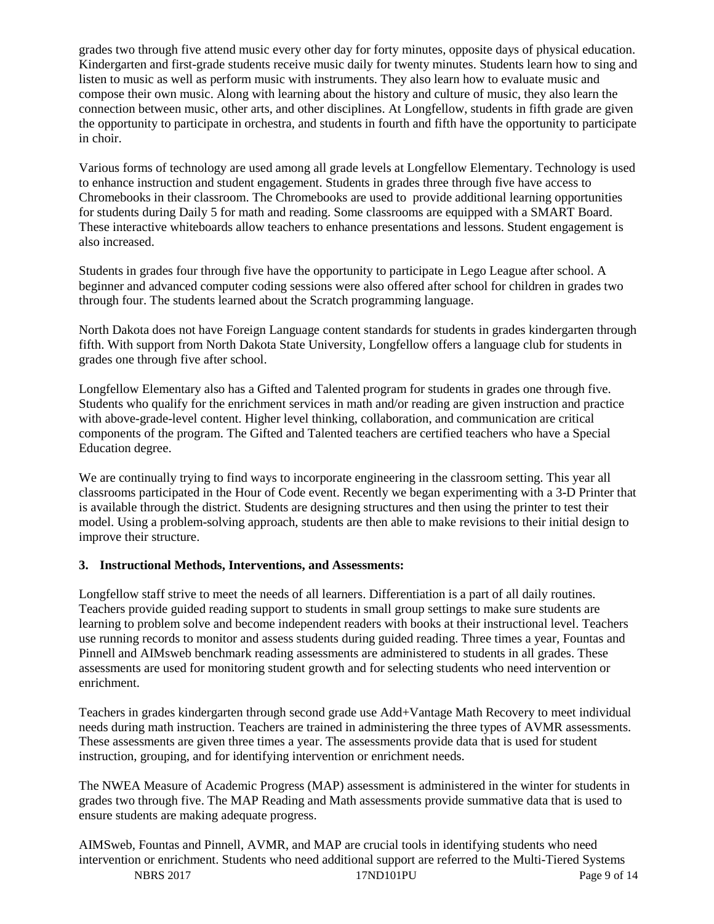grades two through five attend music every other day for forty minutes, opposite days of physical education. Kindergarten and first-grade students receive music daily for twenty minutes. Students learn how to sing and listen to music as well as perform music with instruments. They also learn how to evaluate music and compose their own music. Along with learning about the history and culture of music, they also learn the connection between music, other arts, and other disciplines. At Longfellow, students in fifth grade are given the opportunity to participate in orchestra, and students in fourth and fifth have the opportunity to participate in choir.

Various forms of technology are used among all grade levels at Longfellow Elementary. Technology is used to enhance instruction and student engagement. Students in grades three through five have access to Chromebooks in their classroom. The Chromebooks are used to provide additional learning opportunities for students during Daily 5 for math and reading. Some classrooms are equipped with a SMART Board. These interactive whiteboards allow teachers to enhance presentations and lessons. Student engagement is also increased.

Students in grades four through five have the opportunity to participate in Lego League after school. A beginner and advanced computer coding sessions were also offered after school for children in grades two through four. The students learned about the Scratch programming language.

North Dakota does not have Foreign Language content standards for students in grades kindergarten through fifth. With support from North Dakota State University, Longfellow offers a language club for students in grades one through five after school.

Longfellow Elementary also has a Gifted and Talented program for students in grades one through five. Students who qualify for the enrichment services in math and/or reading are given instruction and practice with above-grade-level content. Higher level thinking, collaboration, and communication are critical components of the program. The Gifted and Talented teachers are certified teachers who have a Special Education degree.

We are continually trying to find ways to incorporate engineering in the classroom setting. This year all classrooms participated in the Hour of Code event. Recently we began experimenting with a 3-D Printer that is available through the district. Students are designing structures and then using the printer to test their model. Using a problem-solving approach, students are then able to make revisions to their initial design to improve their structure.

#### **3. Instructional Methods, Interventions, and Assessments:**

Longfellow staff strive to meet the needs of all learners. Differentiation is a part of all daily routines. Teachers provide guided reading support to students in small group settings to make sure students are learning to problem solve and become independent readers with books at their instructional level. Teachers use running records to monitor and assess students during guided reading. Three times a year, Fountas and Pinnell and AIMsweb benchmark reading assessments are administered to students in all grades. These assessments are used for monitoring student growth and for selecting students who need intervention or enrichment.

Teachers in grades kindergarten through second grade use Add+Vantage Math Recovery to meet individual needs during math instruction. Teachers are trained in administering the three types of AVMR assessments. These assessments are given three times a year. The assessments provide data that is used for student instruction, grouping, and for identifying intervention or enrichment needs.

The NWEA Measure of Academic Progress (MAP) assessment is administered in the winter for students in grades two through five. The MAP Reading and Math assessments provide summative data that is used to ensure students are making adequate progress.

NBRS 2017 **17ND101PU** Page 9 of 14 AIMSweb, Fountas and Pinnell, AVMR, and MAP are crucial tools in identifying students who need intervention or enrichment. Students who need additional support are referred to the Multi-Tiered Systems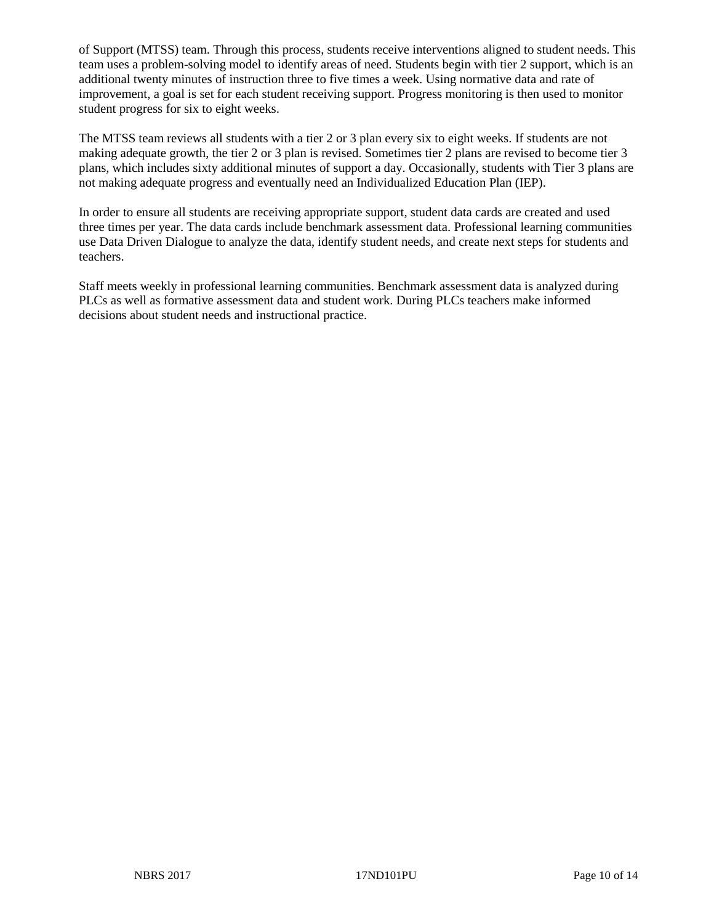of Support (MTSS) team. Through this process, students receive interventions aligned to student needs. This team uses a problem-solving model to identify areas of need. Students begin with tier 2 support, which is an additional twenty minutes of instruction three to five times a week. Using normative data and rate of improvement, a goal is set for each student receiving support. Progress monitoring is then used to monitor student progress for six to eight weeks.

The MTSS team reviews all students with a tier 2 or 3 plan every six to eight weeks. If students are not making adequate growth, the tier 2 or 3 plan is revised. Sometimes tier 2 plans are revised to become tier 3 plans, which includes sixty additional minutes of support a day. Occasionally, students with Tier 3 plans are not making adequate progress and eventually need an Individualized Education Plan (IEP).

In order to ensure all students are receiving appropriate support, student data cards are created and used three times per year. The data cards include benchmark assessment data. Professional learning communities use Data Driven Dialogue to analyze the data, identify student needs, and create next steps for students and teachers.

Staff meets weekly in professional learning communities. Benchmark assessment data is analyzed during PLCs as well as formative assessment data and student work. During PLCs teachers make informed decisions about student needs and instructional practice.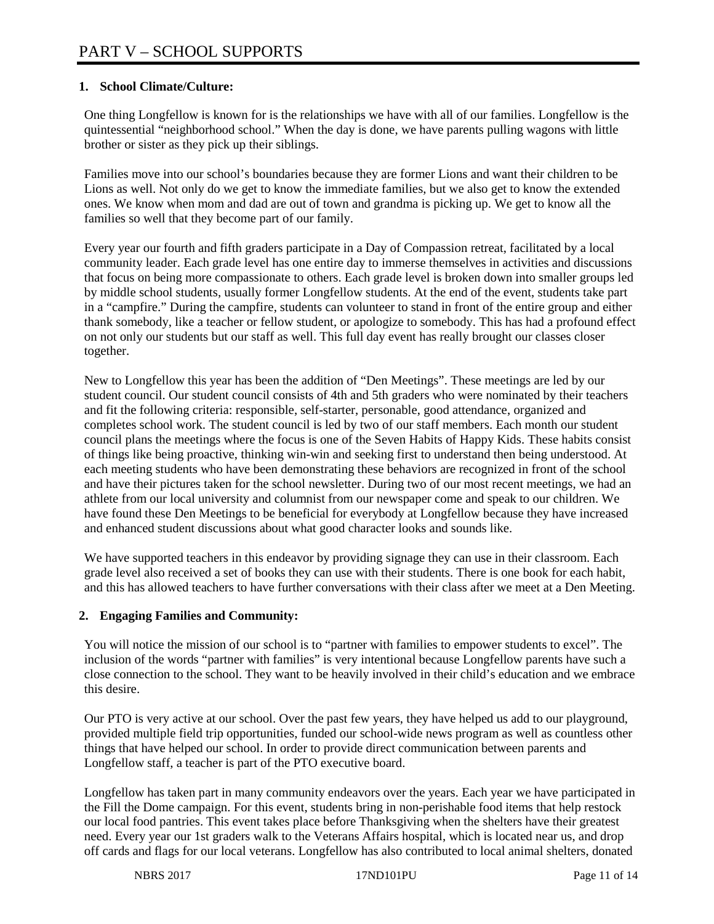## **1. School Climate/Culture:**

One thing Longfellow is known for is the relationships we have with all of our families. Longfellow is the quintessential "neighborhood school." When the day is done, we have parents pulling wagons with little brother or sister as they pick up their siblings.

Families move into our school's boundaries because they are former Lions and want their children to be Lions as well. Not only do we get to know the immediate families, but we also get to know the extended ones. We know when mom and dad are out of town and grandma is picking up. We get to know all the families so well that they become part of our family.

Every year our fourth and fifth graders participate in a Day of Compassion retreat, facilitated by a local community leader. Each grade level has one entire day to immerse themselves in activities and discussions that focus on being more compassionate to others. Each grade level is broken down into smaller groups led by middle school students, usually former Longfellow students. At the end of the event, students take part in a "campfire." During the campfire, students can volunteer to stand in front of the entire group and either thank somebody, like a teacher or fellow student, or apologize to somebody. This has had a profound effect on not only our students but our staff as well. This full day event has really brought our classes closer together.

New to Longfellow this year has been the addition of "Den Meetings". These meetings are led by our student council. Our student council consists of 4th and 5th graders who were nominated by their teachers and fit the following criteria: responsible, self-starter, personable, good attendance, organized and completes school work. The student council is led by two of our staff members. Each month our student council plans the meetings where the focus is one of the Seven Habits of Happy Kids. These habits consist of things like being proactive, thinking win-win and seeking first to understand then being understood. At each meeting students who have been demonstrating these behaviors are recognized in front of the school and have their pictures taken for the school newsletter. During two of our most recent meetings, we had an athlete from our local university and columnist from our newspaper come and speak to our children. We have found these Den Meetings to be beneficial for everybody at Longfellow because they have increased and enhanced student discussions about what good character looks and sounds like.

We have supported teachers in this endeavor by providing signage they can use in their classroom. Each grade level also received a set of books they can use with their students. There is one book for each habit, and this has allowed teachers to have further conversations with their class after we meet at a Den Meeting.

# **2. Engaging Families and Community:**

You will notice the mission of our school is to "partner with families to empower students to excel". The inclusion of the words "partner with families" is very intentional because Longfellow parents have such a close connection to the school. They want to be heavily involved in their child's education and we embrace this desire.

Our PTO is very active at our school. Over the past few years, they have helped us add to our playground, provided multiple field trip opportunities, funded our school-wide news program as well as countless other things that have helped our school. In order to provide direct communication between parents and Longfellow staff, a teacher is part of the PTO executive board.

Longfellow has taken part in many community endeavors over the years. Each year we have participated in the Fill the Dome campaign. For this event, students bring in non-perishable food items that help restock our local food pantries. This event takes place before Thanksgiving when the shelters have their greatest need. Every year our 1st graders walk to the Veterans Affairs hospital, which is located near us, and drop off cards and flags for our local veterans. Longfellow has also contributed to local animal shelters, donated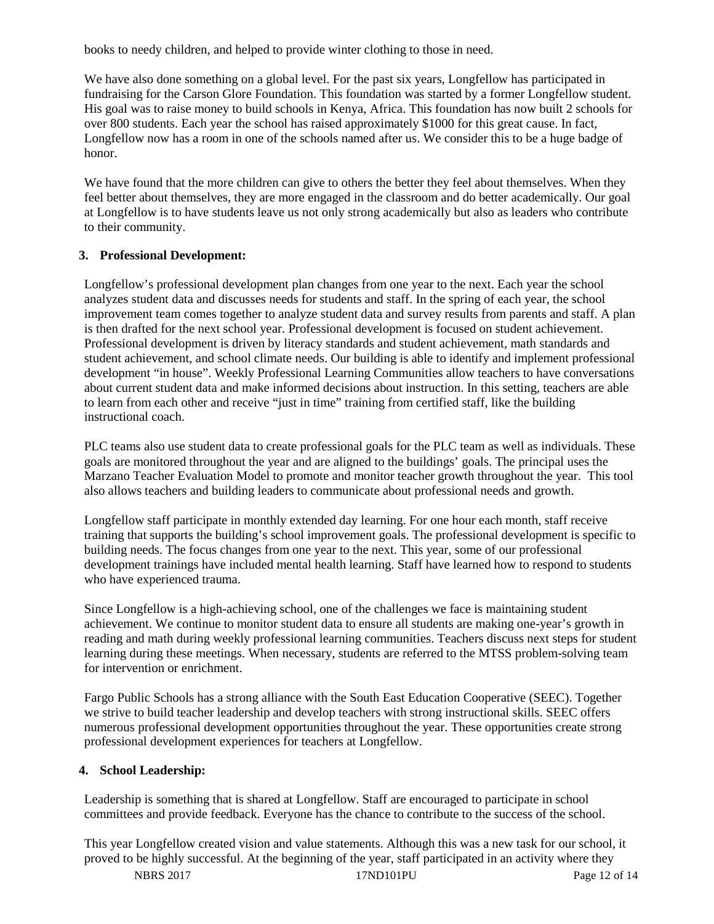books to needy children, and helped to provide winter clothing to those in need.

We have also done something on a global level. For the past six years, Longfellow has participated in fundraising for the Carson Glore Foundation. This foundation was started by a former Longfellow student. His goal was to raise money to build schools in Kenya, Africa. This foundation has now built 2 schools for over 800 students. Each year the school has raised approximately \$1000 for this great cause. In fact, Longfellow now has a room in one of the schools named after us. We consider this to be a huge badge of honor.

We have found that the more children can give to others the better they feel about themselves. When they feel better about themselves, they are more engaged in the classroom and do better academically. Our goal at Longfellow is to have students leave us not only strong academically but also as leaders who contribute to their community.

#### **3. Professional Development:**

Longfellow's professional development plan changes from one year to the next. Each year the school analyzes student data and discusses needs for students and staff. In the spring of each year, the school improvement team comes together to analyze student data and survey results from parents and staff. A plan is then drafted for the next school year. Professional development is focused on student achievement. Professional development is driven by literacy standards and student achievement, math standards and student achievement, and school climate needs. Our building is able to identify and implement professional development "in house". Weekly Professional Learning Communities allow teachers to have conversations about current student data and make informed decisions about instruction. In this setting, teachers are able to learn from each other and receive "just in time" training from certified staff, like the building instructional coach.

PLC teams also use student data to create professional goals for the PLC team as well as individuals. These goals are monitored throughout the year and are aligned to the buildings' goals. The principal uses the Marzano Teacher Evaluation Model to promote and monitor teacher growth throughout the year. This tool also allows teachers and building leaders to communicate about professional needs and growth.

Longfellow staff participate in monthly extended day learning. For one hour each month, staff receive training that supports the building's school improvement goals. The professional development is specific to building needs. The focus changes from one year to the next. This year, some of our professional development trainings have included mental health learning. Staff have learned how to respond to students who have experienced trauma.

Since Longfellow is a high-achieving school, one of the challenges we face is maintaining student achievement. We continue to monitor student data to ensure all students are making one-year's growth in reading and math during weekly professional learning communities. Teachers discuss next steps for student learning during these meetings. When necessary, students are referred to the MTSS problem-solving team for intervention or enrichment.

Fargo Public Schools has a strong alliance with the South East Education Cooperative (SEEC). Together we strive to build teacher leadership and develop teachers with strong instructional skills. SEEC offers numerous professional development opportunities throughout the year. These opportunities create strong professional development experiences for teachers at Longfellow.

## **4. School Leadership:**

Leadership is something that is shared at Longfellow. Staff are encouraged to participate in school committees and provide feedback. Everyone has the chance to contribute to the success of the school.

This year Longfellow created vision and value statements. Although this was a new task for our school, it proved to be highly successful. At the beginning of the year, staff participated in an activity where they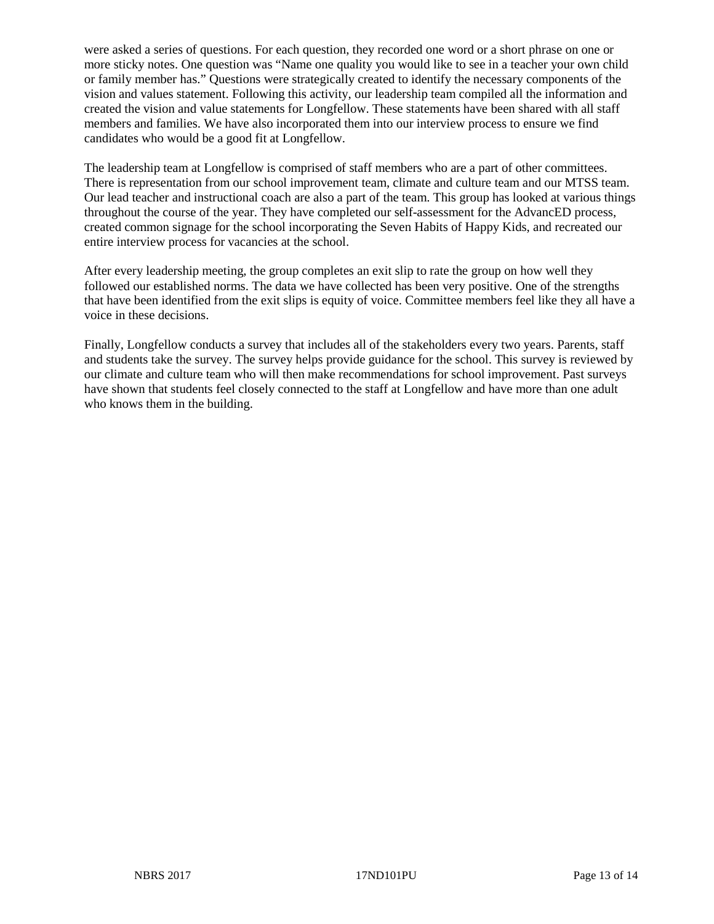were asked a series of questions. For each question, they recorded one word or a short phrase on one or more sticky notes. One question was "Name one quality you would like to see in a teacher your own child or family member has." Questions were strategically created to identify the necessary components of the vision and values statement. Following this activity, our leadership team compiled all the information and created the vision and value statements for Longfellow. These statements have been shared with all staff members and families. We have also incorporated them into our interview process to ensure we find candidates who would be a good fit at Longfellow.

The leadership team at Longfellow is comprised of staff members who are a part of other committees. There is representation from our school improvement team, climate and culture team and our MTSS team. Our lead teacher and instructional coach are also a part of the team. This group has looked at various things throughout the course of the year. They have completed our self-assessment for the AdvancED process, created common signage for the school incorporating the Seven Habits of Happy Kids, and recreated our entire interview process for vacancies at the school.

After every leadership meeting, the group completes an exit slip to rate the group on how well they followed our established norms. The data we have collected has been very positive. One of the strengths that have been identified from the exit slips is equity of voice. Committee members feel like they all have a voice in these decisions.

Finally, Longfellow conducts a survey that includes all of the stakeholders every two years. Parents, staff and students take the survey. The survey helps provide guidance for the school. This survey is reviewed by our climate and culture team who will then make recommendations for school improvement. Past surveys have shown that students feel closely connected to the staff at Longfellow and have more than one adult who knows them in the building.